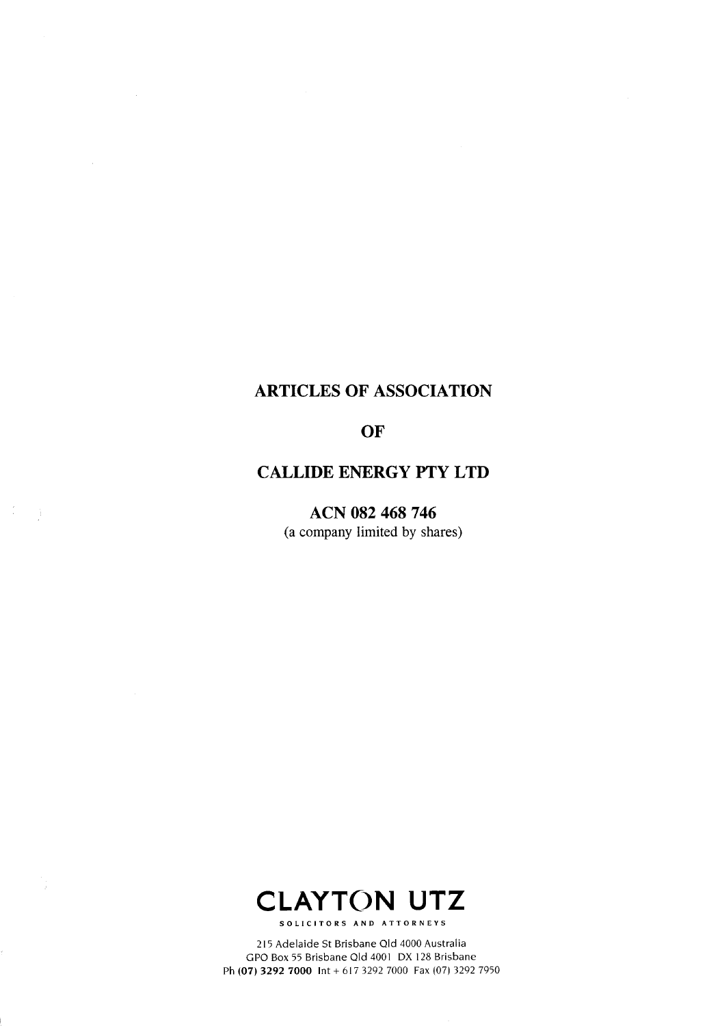# **ARTICLES OF ASSOCIATION**

**OF** 

# **CALLIDE ENERGY PTY LTD**

**ACN 082 468 746** 

 $\mathcal{L}=\mathcal{L}$ 

(a company limited by shares)



SOLICITORS AND ATTORNEYS

215 Adelaide St Brisbane Old 4000 Australia GPO Box 55 Brisbane Old 4001 DX 128 Brisbane Ph **(07) 3292 7000** tnt + 617 3292 7000 Fax (07) 3292 7950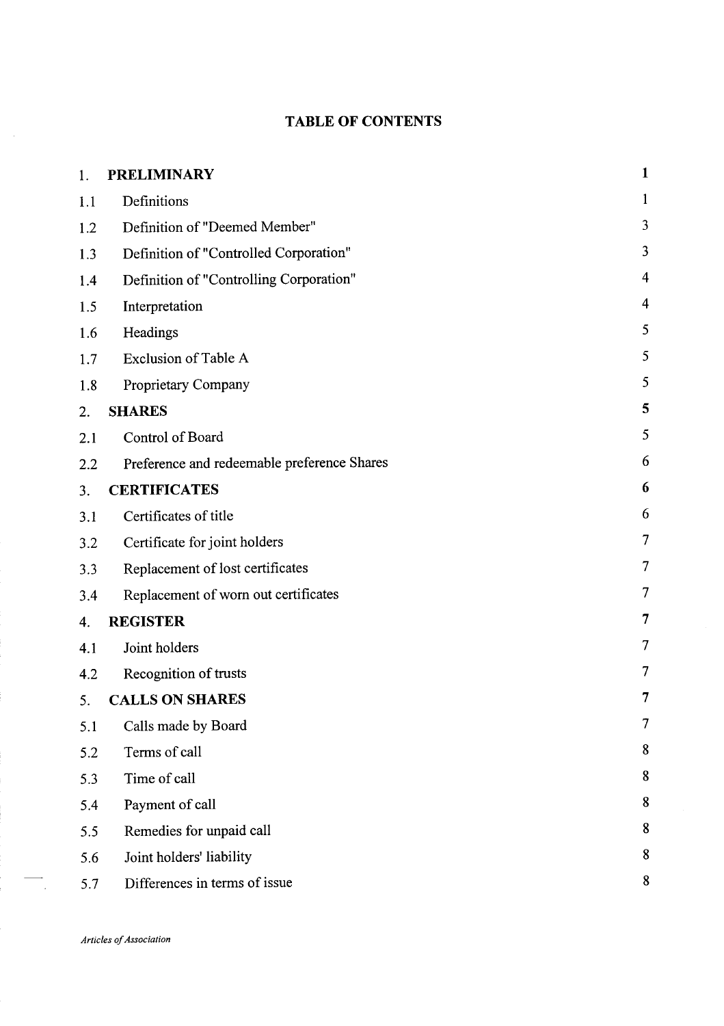# **TABLE OF CONTENTS**

| 1.  | <b>PRELIMINARY</b>                          | $\mathbf{1}$             |
|-----|---------------------------------------------|--------------------------|
| 1.1 | Definitions                                 | 1                        |
| 1.2 | Definition of "Deemed Member"               | 3                        |
| 1.3 | Definition of "Controlled Corporation"      | 3                        |
| 1.4 | Definition of "Controlling Corporation"     | $\overline{\mathcal{A}}$ |
| 1.5 | Interpretation                              | 4                        |
| 1.6 | Headings                                    | 5                        |
| 1.7 | <b>Exclusion of Table A</b>                 | 5                        |
| 1.8 | Proprietary Company                         | 5                        |
| 2.  | <b>SHARES</b>                               | 5                        |
| 2.1 | Control of Board                            | 5                        |
| 2.2 | Preference and redeemable preference Shares | 6                        |
| 3.  | <b>CERTIFICATES</b>                         | 6                        |
| 3.1 | Certificates of title                       | 6                        |
| 3.2 | Certificate for joint holders               | $\overline{7}$           |
| 3.3 | Replacement of lost certificates            | $\overline{7}$           |
| 3.4 | Replacement of worn out certificates        | 7                        |
| 4.  | <b>REGISTER</b>                             | 7                        |
| 4.1 | Joint holders                               | 7                        |
| 4.2 | Recognition of trusts                       | 7                        |
| 5.  | <b>CALLS ON SHARES</b>                      | 7                        |
| 5.1 | Calls made by Board                         | $\tau$                   |
| 5.2 | Terms of call                               | 8                        |
| 5.3 | Time of call                                | 8                        |
| 5.4 | Payment of call                             | 8                        |
| 5.5 | Remedies for unpaid call                    | 8                        |
| 5.6 | Joint holders' liability                    | 8                        |
| 5.7 | Differences in terms of issue               | 8                        |

*Articles of Association* 

 $\sim 10$ 

 $\sim$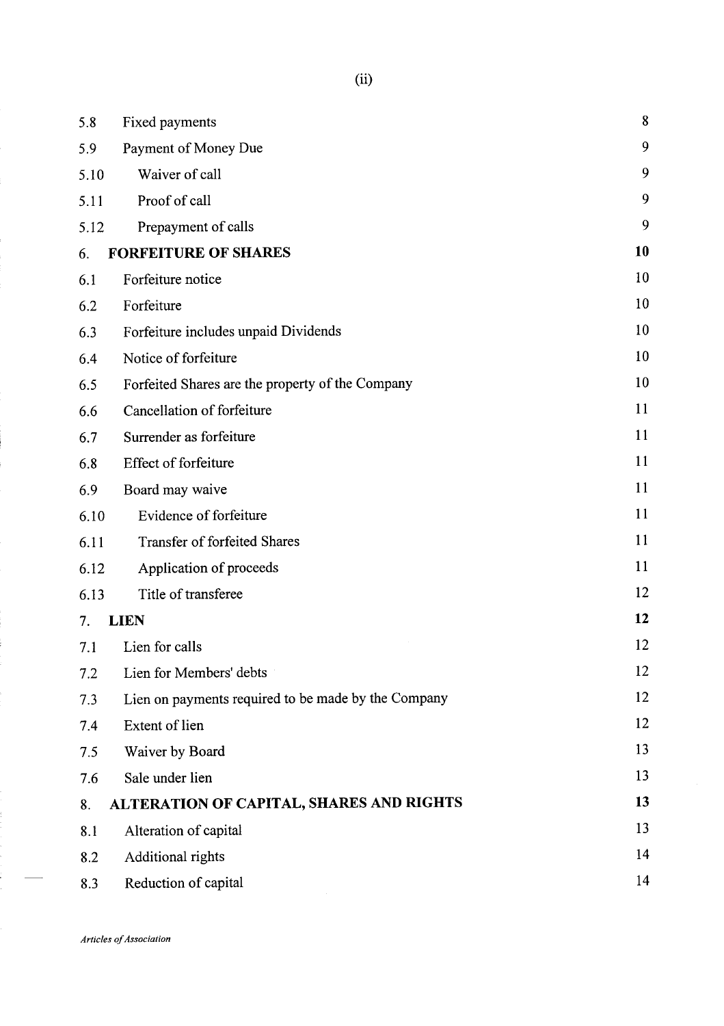| 5.8  | Fixed payments                                      | 8  |
|------|-----------------------------------------------------|----|
| 5.9  | Payment of Money Due                                | 9  |
| 5.10 | Waiver of call                                      | 9  |
| 5.11 | Proof of call                                       | 9  |
| 5.12 | Prepayment of calls                                 | 9  |
| 6.   | <b>FORFEITURE OF SHARES</b>                         | 10 |
| 6.1  | Forfeiture notice                                   | 10 |
| 6.2  | Forfeiture                                          | 10 |
| 6.3  | Forfeiture includes unpaid Dividends                | 10 |
| 6.4  | Notice of forfeiture                                | 10 |
| 6.5  | Forfeited Shares are the property of the Company    | 10 |
| 6.6  | Cancellation of forfeiture                          | 11 |
| 6.7  | Surrender as forfeiture                             | 11 |
| 6.8  | <b>Effect of forfeiture</b>                         | 11 |
| 6.9  | Board may waive                                     | 11 |
| 6.10 | Evidence of forfeiture                              | 11 |
| 6.11 | <b>Transfer of forfeited Shares</b>                 | 11 |
| 6.12 | Application of proceeds                             | 11 |
| 6.13 | Title of transferee                                 | 12 |
| 7.   | <b>LIEN</b>                                         | 12 |
| 7.1  | Lien for calls                                      | 12 |
| 7.2  | Lien for Members' debts                             | 12 |
| 7.3  | Lien on payments required to be made by the Company | 12 |
| 7.4  | Extent of lien                                      | 12 |
| 7.5  | Waiver by Board                                     | 13 |
| 7.6  | Sale under lien                                     | 13 |
| 8.   | ALTERATION OF CAPITAL, SHARES AND RIGHTS            | 13 |
| 8.1  | Alteration of capital                               | 13 |
| 8.2  | Additional rights                                   | 14 |
| 8.3  | Reduction of capital                                | 14 |

*Articles of Association*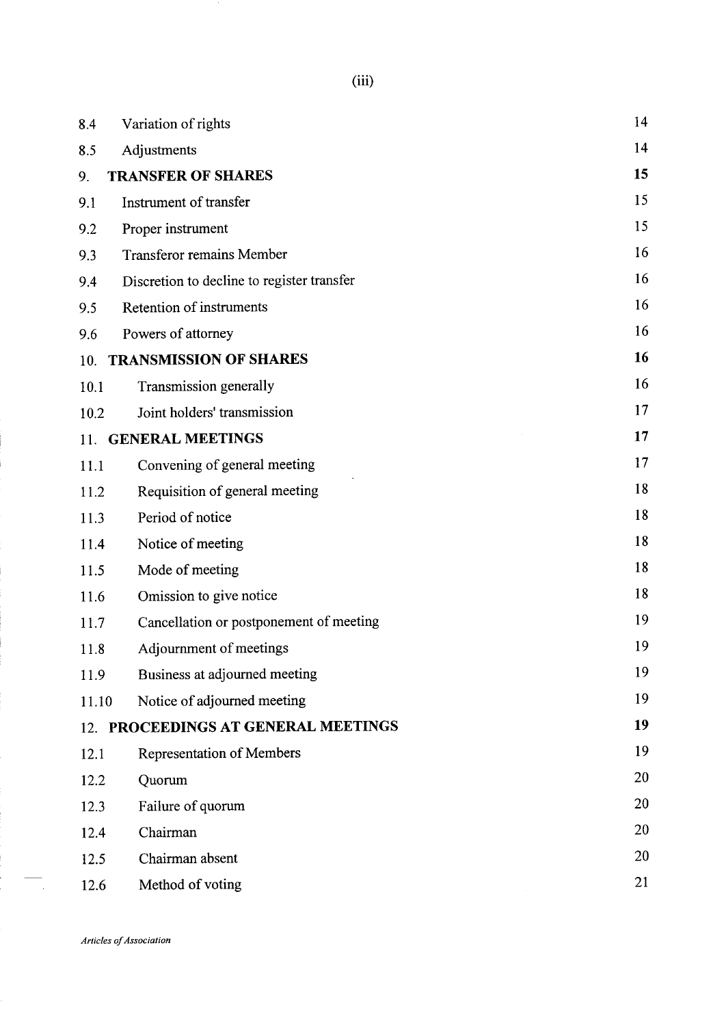(iii)

| 8.4   | Variation of rights                        | 14 |
|-------|--------------------------------------------|----|
| 8.5   | Adjustments                                | 14 |
| 9.    | <b>TRANSFER OF SHARES</b>                  | 15 |
| 9.1   | Instrument of transfer                     | 15 |
| 9.2   | Proper instrument                          | 15 |
| 9.3   | <b>Transferor remains Member</b>           | 16 |
| 9.4   | Discretion to decline to register transfer | 16 |
| 9.5   | Retention of instruments                   | 16 |
| 9.6   | Powers of attorney                         | 16 |
| 10.   | <b>TRANSMISSION OF SHARES</b>              | 16 |
| 10.1  | Transmission generally                     | 16 |
| 10.2  | Joint holders' transmission                | 17 |
| 11.   | <b>GENERAL MEETINGS</b>                    | 17 |
| 11.1  | Convening of general meeting               | 17 |
| 11.2  | Requisition of general meeting             | 18 |
| 11.3  | Period of notice                           | 18 |
| 11.4  | Notice of meeting                          | 18 |
| 11.5  | Mode of meeting                            | 18 |
| 11.6  | Omission to give notice                    | 18 |
| 11.7  | Cancellation or postponement of meeting    | 19 |
| 11.8  | Adjournment of meetings                    | 19 |
| 11.9  | Business at adjourned meeting              | 19 |
| 11.10 | Notice of adjourned meeting                | 19 |
|       | 12. PROCEEDINGS AT GENERAL MEETINGS        | 19 |
| 12.1  | <b>Representation of Members</b>           | 19 |
| 12.2  | Quorum                                     | 20 |
| 12.3  | Failure of quorum                          | 20 |
| 12.4  | Chairman                                   | 20 |
| 12.5  | Chairman absent                            | 20 |
| 12.6  | Method of voting                           | 21 |

*Articles of Association* 

 $\sim$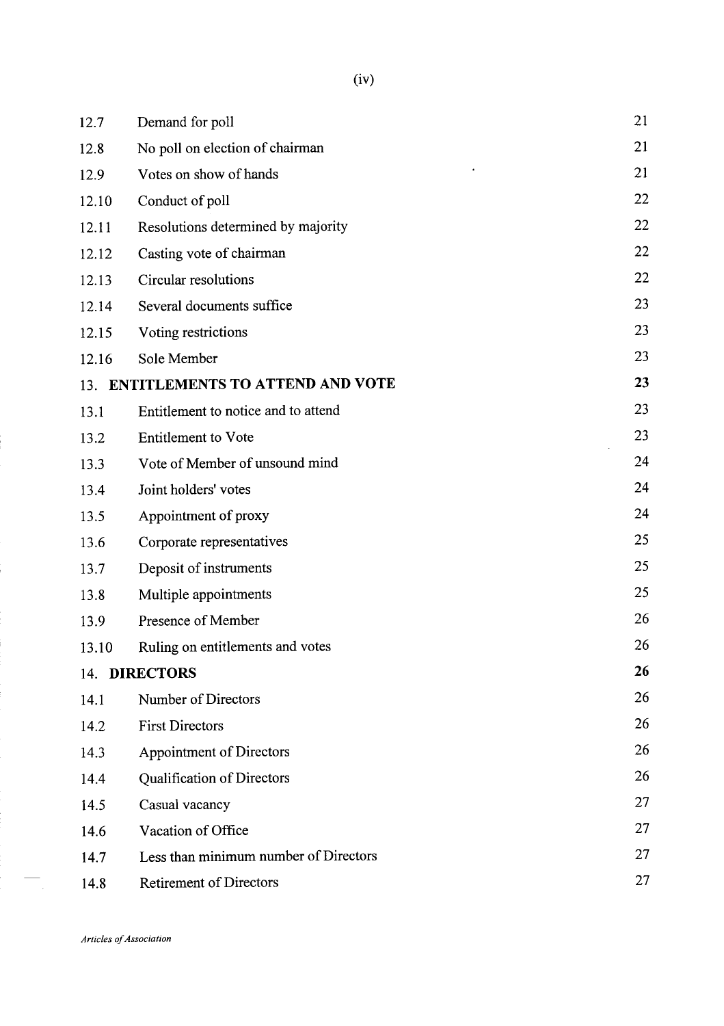| 12.7  | Demand for poll                        | 21 |
|-------|----------------------------------------|----|
| 12.8  | No poll on election of chairman        | 21 |
| 12.9  | Votes on show of hands                 | 21 |
| 12.10 | Conduct of poll                        | 22 |
| 12.11 | Resolutions determined by majority     | 22 |
| 12.12 | Casting vote of chairman               | 22 |
| 12.13 | Circular resolutions                   | 22 |
| 12.14 | Several documents suffice              | 23 |
| 12.15 | Voting restrictions                    | 23 |
| 12.16 | Sole Member                            | 23 |
| 13.   | <b>ENTITLEMENTS TO ATTEND AND VOTE</b> | 23 |
| 13.1  | Entitlement to notice and to attend    | 23 |
| 13.2  | Entitlement to Vote                    | 23 |
| 13.3  | Vote of Member of unsound mind         | 24 |
| 13.4  | Joint holders' votes                   | 24 |
| 13.5  | Appointment of proxy                   | 24 |
| 13.6  | Corporate representatives              | 25 |
| 13.7  | Deposit of instruments                 | 25 |
| 13.8  | Multiple appointments                  | 25 |
| 13.9  | Presence of Member                     | 26 |
| 13.10 | Ruling on entitlements and votes       | 26 |
|       | 14. DIRECTORS                          | 26 |
| 14.1  | Number of Directors                    | 26 |
| 14.2  | <b>First Directors</b>                 | 26 |
| 14.3  | <b>Appointment of Directors</b>        | 26 |
| 14.4  | Qualification of Directors             | 26 |
| 14.5  | Casual vacancy                         | 27 |
| 14.6  | Vacation of Office                     | 27 |
| 14.7  | Less than minimum number of Directors  | 27 |
| 14.8  | <b>Retirement of Directors</b>         | 27 |

*Articles ofAssocialion* 

 $\mathcal{L}_{\mathcal{A}}$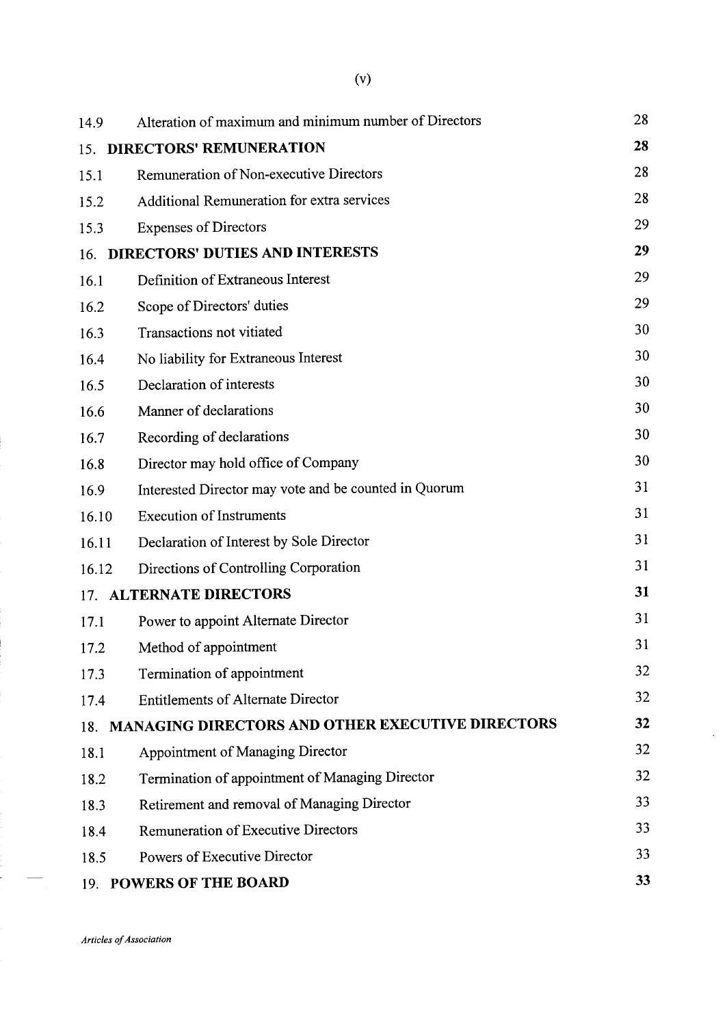| 14.9  | Alteration of maximum and minimum number of Directors | 28 |
|-------|-------------------------------------------------------|----|
| 15.   | <b>DIRECTORS' REMUNERATION</b>                        | 28 |
| 15.1  | Remuneration of Non-executive Directors               | 28 |
| 15.2  | Additional Remuneration for extra services            | 28 |
| 15.3  | <b>Expenses of Directors</b>                          | 29 |
| 16.   | <b>DIRECTORS' DUTIES AND INTERESTS</b>                | 29 |
| 16.1  | Definition of Extraneous Interest                     | 29 |
| 16.2  | Scope of Directors' duties                            | 29 |
| 16.3  | Transactions not vitiated                             | 30 |
| 16.4  | No liability for Extraneous Interest                  | 30 |
| 16.5  | Declaration of interests                              | 30 |
| 16.6  | Manner of declarations                                | 30 |
| 16.7  | Recording of declarations                             | 30 |
| 16.8  | Director may hold office of Company                   | 30 |
| 16.9  | Interested Director may vote and be counted in Quorum | 31 |
| 16.10 | <b>Execution of Instruments</b>                       | 31 |
| 16.11 | Declaration of Interest by Sole Director              | 31 |
| 16.12 | Directions of Controlling Corporation                 | 31 |
| 17.   | <b>ALTERNATE DIRECTORS</b>                            | 31 |
| 17.1  | Power to appoint Alternate Director                   | 31 |
| 17.2  | Method of appointment                                 | 31 |
| 17.3  | Termination of appointment                            | 32 |
| 17.4  | <b>Entitlements of Alternate Director</b>             | 32 |
| 18.   | MANAGING DIRECTORS AND OTHER EXECUTIVE DIRECTORS      | 32 |
| 18.1  | <b>Appointment of Managing Director</b>               | 32 |
| 18.2  | Termination of appointment of Managing Director       | 32 |
| 18.3  | Retirement and removal of Managing Director           | 33 |
| 18.4  | <b>Remuneration of Executive Directors</b>            | 33 |
| 18.5  | Powers of Executive Director                          | 33 |
|       | 19. POWERS OF THE BOARD                               | 33 |

 $\sim$ 

*Articles of Association* 

 $\ddot{\phantom{0}}$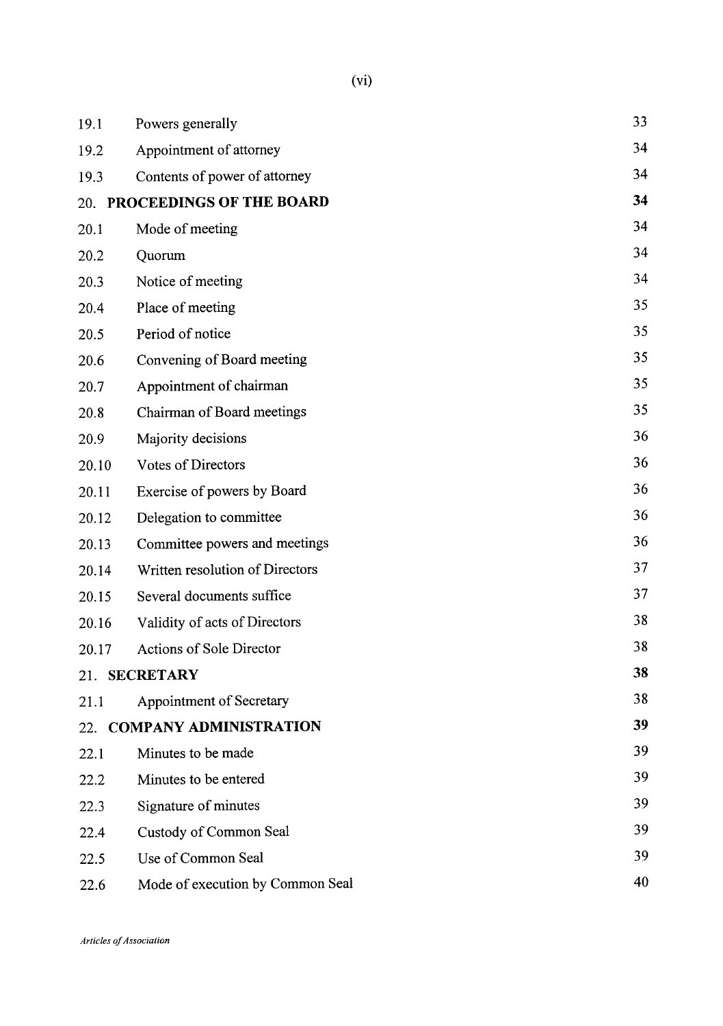(vi)

| 19.1  | Powers generally                 | 33 |
|-------|----------------------------------|----|
| 19.2  | Appointment of attorney          | 34 |
| 19.3  | Contents of power of attorney    | 34 |
| 20.   | <b>PROCEEDINGS OF THE BOARD</b>  | 34 |
| 20.1  | Mode of meeting                  | 34 |
| 20.2  | Quorum                           | 34 |
| 20.3  | Notice of meeting                | 34 |
| 20.4  | Place of meeting                 | 35 |
| 20.5  | Period of notice                 | 35 |
| 20.6  | Convening of Board meeting       | 35 |
| 20.7  | Appointment of chairman          | 35 |
| 20.8  | Chairman of Board meetings       | 35 |
| 20.9  | Majority decisions               | 36 |
| 20.10 | Votes of Directors               | 36 |
| 20.11 | Exercise of powers by Board      | 36 |
| 20.12 | Delegation to committee          | 36 |
| 20.13 | Committee powers and meetings    | 36 |
| 20.14 | Written resolution of Directors  | 37 |
| 20.15 | Several documents suffice        | 37 |
| 20.16 | Validity of acts of Directors    | 38 |
| 20.17 | <b>Actions of Sole Director</b>  | 38 |
|       | 21. SECRETARY                    | 38 |
| 21.1  | Appointment of Secretary         | 38 |
| 22.   | <b>COMPANY ADMINISTRATION</b>    | 39 |
| 22.1  | Minutes to be made               | 39 |
| 22.2  | Minutes to be entered            | 39 |
| 22.3  | Signature of minutes             | 39 |
| 22.4  | Custody of Common Seal           | 39 |
| 22.5  | Use of Common Seal               | 39 |
| 22.6  | Mode of execution by Common Seal | 40 |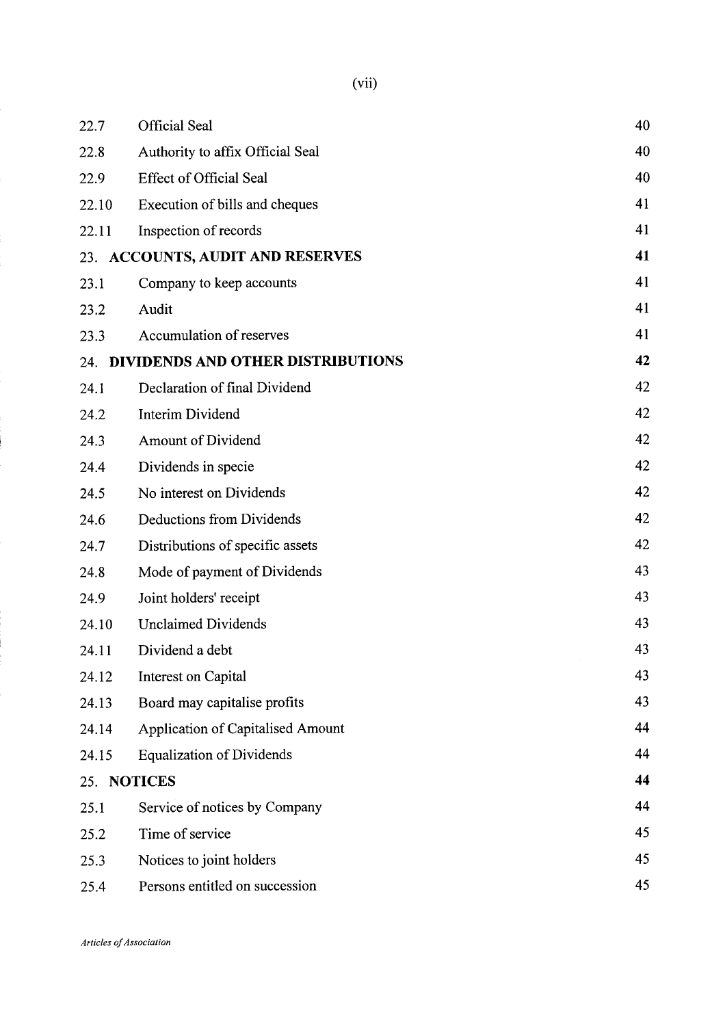| 22.7  | <b>Official Seal</b>                     | 40 |
|-------|------------------------------------------|----|
| 22.8  | Authority to affix Official Seal         | 40 |
| 22.9  | <b>Effect of Official Seal</b>           | 40 |
| 22.10 | Execution of bills and cheques           | 41 |
| 22.11 | Inspection of records                    | 41 |
|       | 23. ACCOUNTS, AUDIT AND RESERVES         | 41 |
| 23.1  | Company to keep accounts                 | 41 |
| 23.2  | Audit                                    | 41 |
| 23.3  | Accumulation of reserves                 | 41 |
| 24.   | DIVIDENDS AND OTHER DISTRIBUTIONS        | 42 |
| 24.1  | Declaration of final Dividend            | 42 |
| 24.2  | Interim Dividend                         | 42 |
| 24.3  | <b>Amount of Dividend</b>                | 42 |
| 24.4  | Dividends in specie                      | 42 |
| 24.5  | No interest on Dividends                 | 42 |
| 24.6  | Deductions from Dividends                | 42 |
| 24.7  | Distributions of specific assets         | 42 |
| 24.8  | Mode of payment of Dividends             | 43 |
| 24.9  | Joint holders' receipt                   | 43 |
| 24.10 | <b>Unclaimed Dividends</b>               | 43 |
| 24.11 | Dividend a debt                          | 43 |
| 24.12 | <b>Interest on Capital</b>               | 43 |
| 24.13 | Board may capitalise profits             | 43 |
| 24.14 | <b>Application of Capitalised Amount</b> | 44 |
| 24.15 | <b>Equalization of Dividends</b>         | 44 |
|       | 25. NOTICES                              | 44 |
| 25.1  | Service of notices by Company            | 44 |
| 25.2  | Time of service                          | 45 |
| 25.3  | Notices to joint holders                 | 45 |
| 25.4  | Persons entitled on succession           | 45 |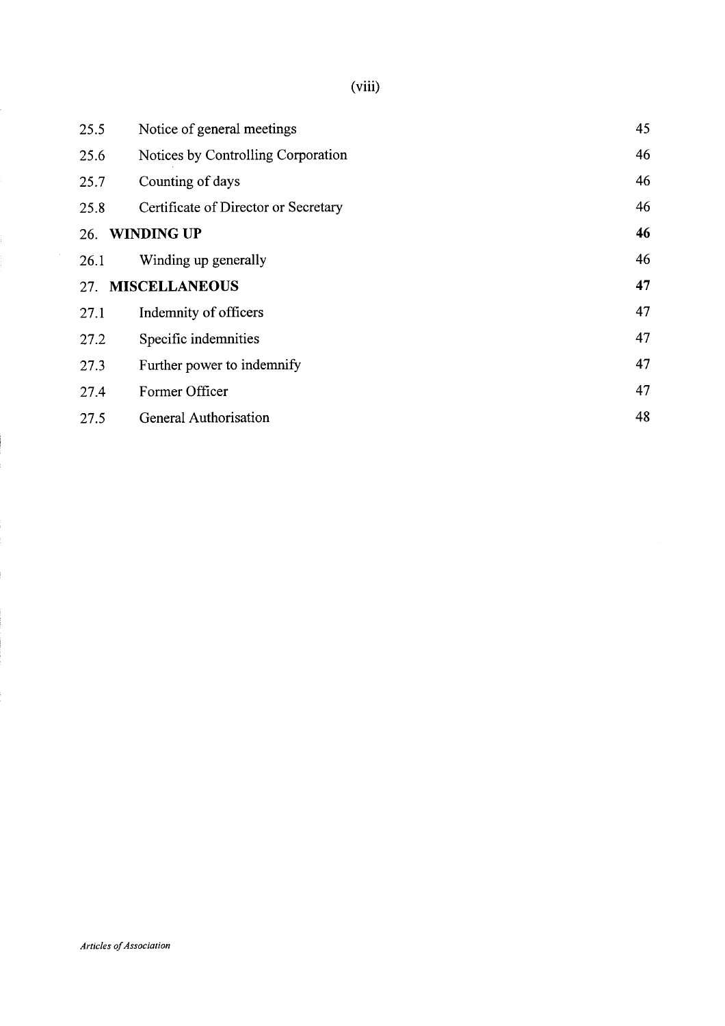(viii)

| 25.5 | Notice of general meetings           | 45 |
|------|--------------------------------------|----|
| 25.6 | Notices by Controlling Corporation   | 46 |
| 25.7 | Counting of days                     | 46 |
| 25.8 | Certificate of Director or Secretary | 46 |
| 26.  | <b>WINDING UP</b>                    | 46 |
| 26.1 | Winding up generally                 | 46 |
| 27.  | <b>MISCELLANEOUS</b>                 | 47 |
| 27.1 | Indemnity of officers                | 47 |
| 27.2 | Specific indemnities                 | 47 |
| 27.3 | Further power to indemnify           | 47 |
| 27.4 | Former Officer                       | 47 |
| 27.5 | <b>General Authorisation</b>         | 48 |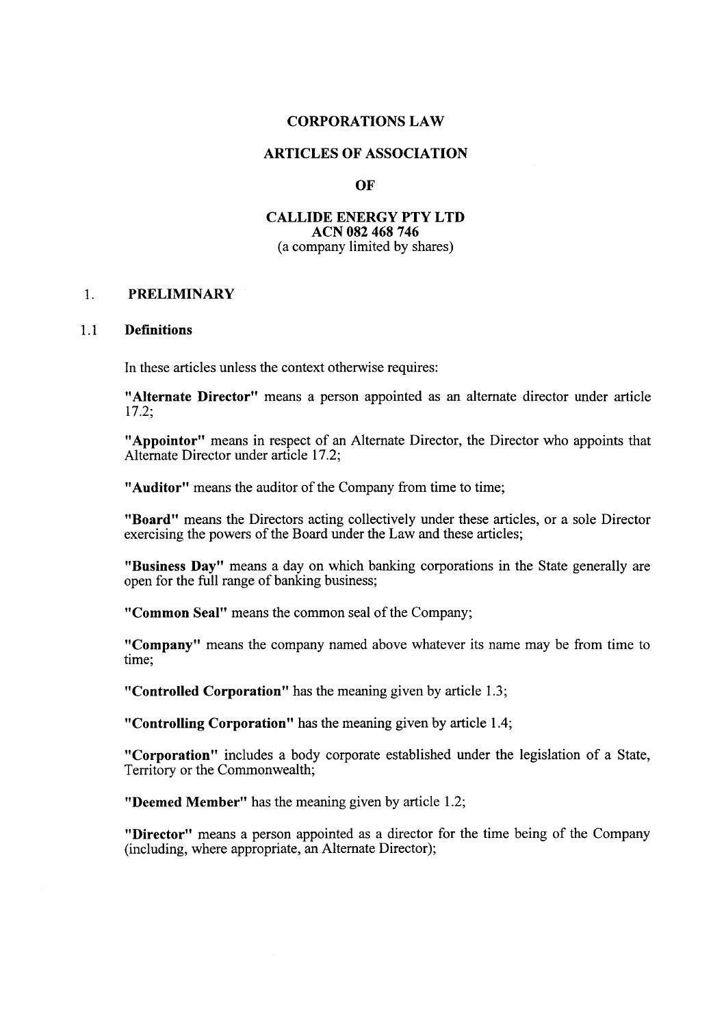#### **CORPORATIONS LAW**

# **ARTICLES OF ASSOCIATION**

#### **OF**

#### **CALLIDE ENERGY PTY LTD ACN 082 468 746**  (a company limited by shares)

#### 1. **PRELIMINARY**

#### 1.1 **Definitions**

In these articles unless the context otherwise requires:

**"Alternate Director"** means a person appointed as an alternate director under article 17.2;

**"Appointor"** means in respect of an Alternate Director, the Director who appoints that Alternate Director under article 17.2;

**"Auditor"** means the auditor of the Company from time to time;

**"Board"** means the Directors acting collectively under these articles, or a sole Director exercising the powers of the Board under the Law and these articles;

**"Business Day"** means a day on which banking corporations in the State generally are open for the full range of banking business;

**"Common Seal"** means the common seal of the Company;

**"Company"** means the company named above whatever its name may be from time to time;

**"Controlled Corporation"** has the meaning given by article 1.3;

**"Controlling Corporation"** has the meaning given by article 1.4;

**"Corporation"** includes a body corporate established under the legislation of a State, Territory or the Commonwealth;

**"Deemed Member"** has the meaning given by article 1.2;

**"Director"** means a person appointed as a director for the time being of the Company (including, where appropriate, an Alternate Director);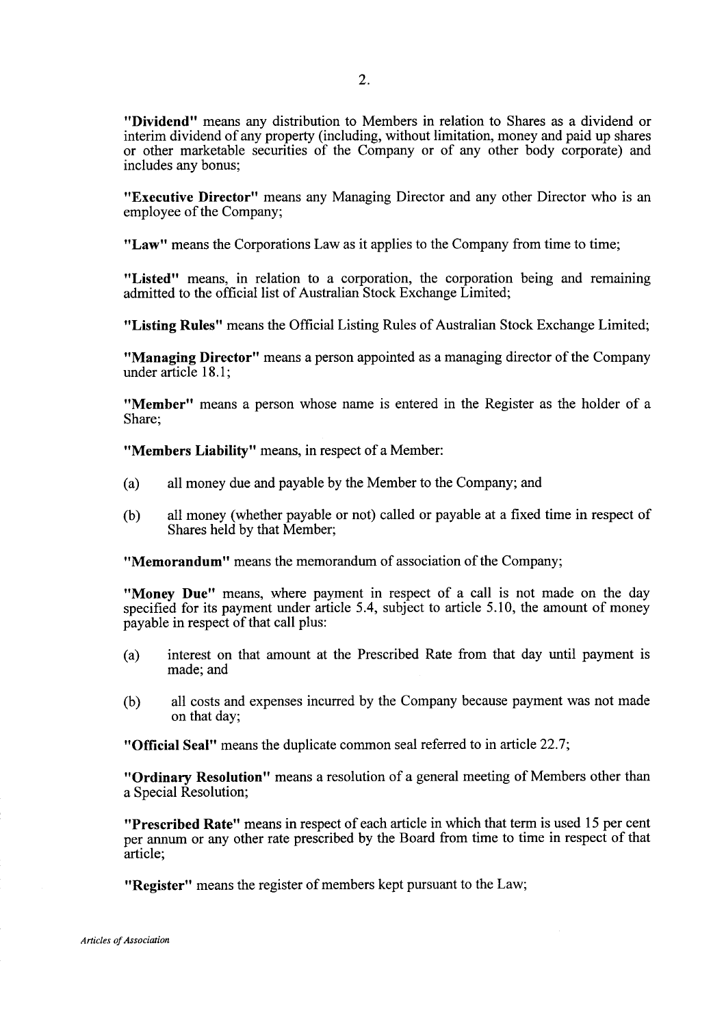**"Dividend"** means any distribution to Members in relation to Shares as a dividend or interim dividend of any property (including, without limitation, money and paid up shares or other marketable securities of the Company or of any other body corporate) and includes any bonus;

**"Executive Director"** means any Managing Director and any other Director who is an employee of the Company;

"Law" means the Corporations Law as it applies to the Company from time to time;

"Listed" means, in relation to a corporation, the corporation being and remaining admitted to the official list of Australian Stock Exchange Limited;

**"Listing Rules"** means the Official Listing Rules of Australian Stock Exchange Limited;

**"Managing Director"** means a person appointed as a managing director of the Company under article 18.1:

**"Member"** means a person whose name is entered in the Register as the holder of a Share;

**"Members Liability"** means, in respect of a Member:

- (a) all money due and payable by the Member to the Company; and
- (b) all money (whether payable or not) called or payable at a fixed time in respect of Shares held by that Member;

**"Memorandum"** means the memorandum of association of the Company;

**"Money Due"** means, where payment in respect of a call is not made on the day specified for its payment under article 5.4, subject to article *5.10,* the amount of money payable in respect of that call plus:

- (a) interest on that amount at the Prescribed Rate from that day until payment is made; and
- (b) all costs and expenses incurred by the Company because payment was not made on that day;

**"Official Seal"** means the duplicate common seal referred to in article 22.7;

**"Ordinary Resolution"** means a resolution of a general meeting of Members other than a Special Resolution;

**"Prescribed Rate"** means in respect of each article in which that term is used 15 per cent per annum or any other rate prescribed by the Board from time to time in respect of that article;

**"Register"** means the register of members kept pursuant to the Law;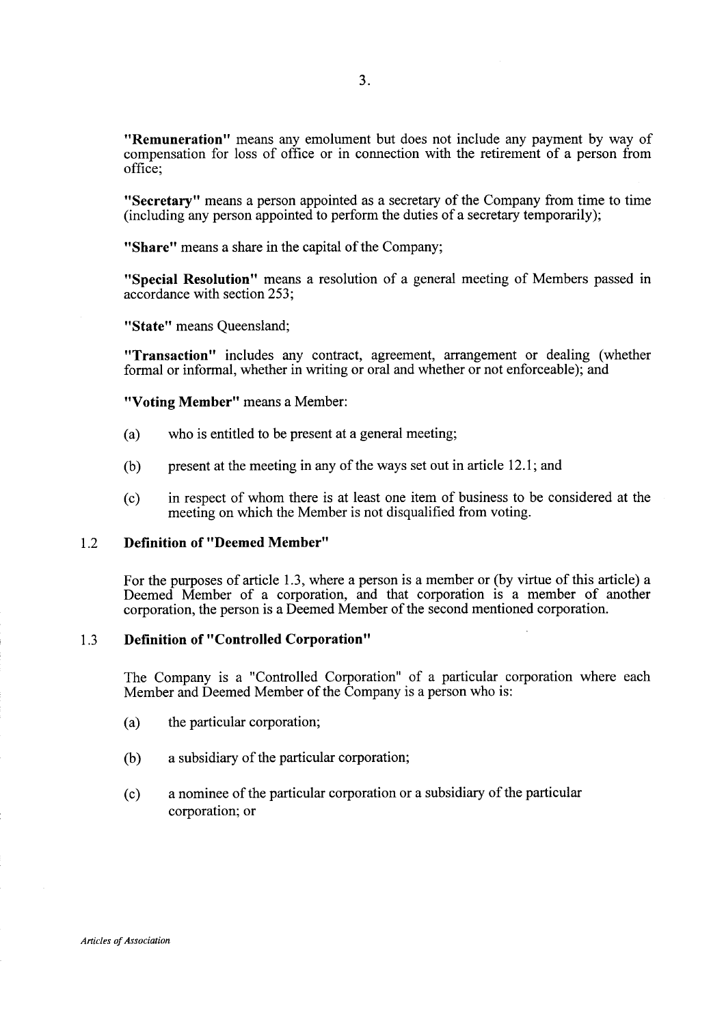**"Remuneration"** means any emolument but does not include any payment by way of compensation for loss of office or in connection with the retirement of a person from office;

**"Secretary"** means a person appointed as a secretary of the Company from time to time (including any person appointed to perform the duties of a secretary temporarily);

"Share" means a share in the capital of the Company;

**"Special Resolution"** means a resolution of a general meeting of Members passed in accordance with section *253;* 

"State" means Queensland;

"Transaction" includes any contract, agreement, arrangement or dealing (whether formal or informal, whether in writing or oral and whether or not enforceable); and

#### **"Voting Member"** means a Member:

- (a) who is entitled to be present at a general meeting;
- (b) present at the meeting in any of the ways set out in article 12.1; and
- (c) in respect of whom there is at least one item of business to be considered at the meeting on which the Member is not disqualified from voting.

# **1.2 Definition of "Deemed Member"**

For the purposes of article 1.3, where a person is a member or (by virtue of this article) a Deemed Member of a corporation, and that corporation is a member of another corporation, the person is a Deemed Member of the second mentioned corporation.

# 1.3 **Definition of "Controlled Corporation"**

The Company is a "Controlled Corporation" of a particular corporation where each Member and Deemed Member of the Company is a person who is:

- (a) the particular corporation;
- (b) a subsidiary of the particular corporation;
- (c) a nominee of the particular corporation or a subsidiary of the particular corporation; or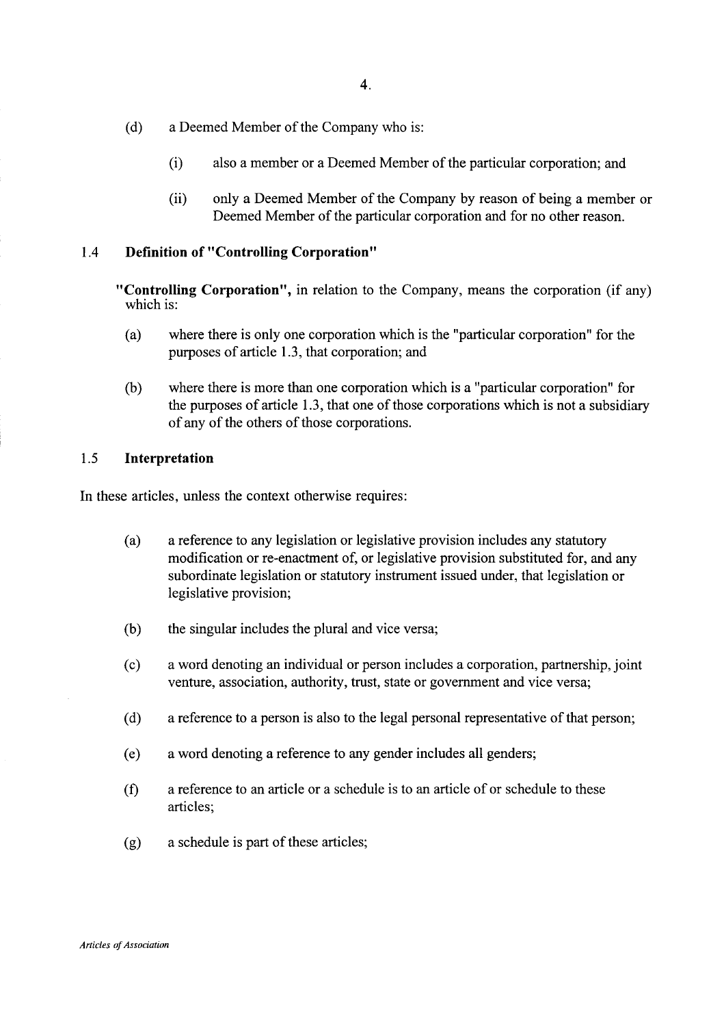- (d) a Deemed Member of the Company who is:
	- (i) also a member or a Deemed Member of the particular corporation; and
	- (ii) only a Deemed Member of the Company by reason of being a member or Deemed Member of the particular corporation and for no other reason.

# 1.4 **Definition of "Controlling Corporation"**

**"Controlling Corporation",** in relation to the Company, means the corporation (if any) which is:

- (a) where there is only one corporation which is the "particular corporation" for the purposes of article 1.3, that corporation; and
- (b) where there is more than one corporation which is a "particular corporation" for the purposes of article 1.3, that one of those corporations which is not a subsidiary of any of the others of those corporations.

# *1.5* **Interpretation**

In these articles, unless the context otherwise requires:

- (a) a reference to any legislation or legislative provision includes any statutory modification or re-enactment of, or legislative provision substituted for, and any subordinate legislation or statutory instrument issued under, that legislation or legislative provision;
- (b) the singular includes the plural and vice versa;
- (c) a word denoting an individual or person includes a corporation, partnership, joint venture, association, authority, trust, state or government and vice versa;
- (d) a reference to a person is also to the legal personal representative of that person;
- (e) a word denoting a reference to any gender includes all genders;
- (f) a reference to an article or a schedule is to an article of or schedule to these articles;
- (g) a schedule is part of these articles;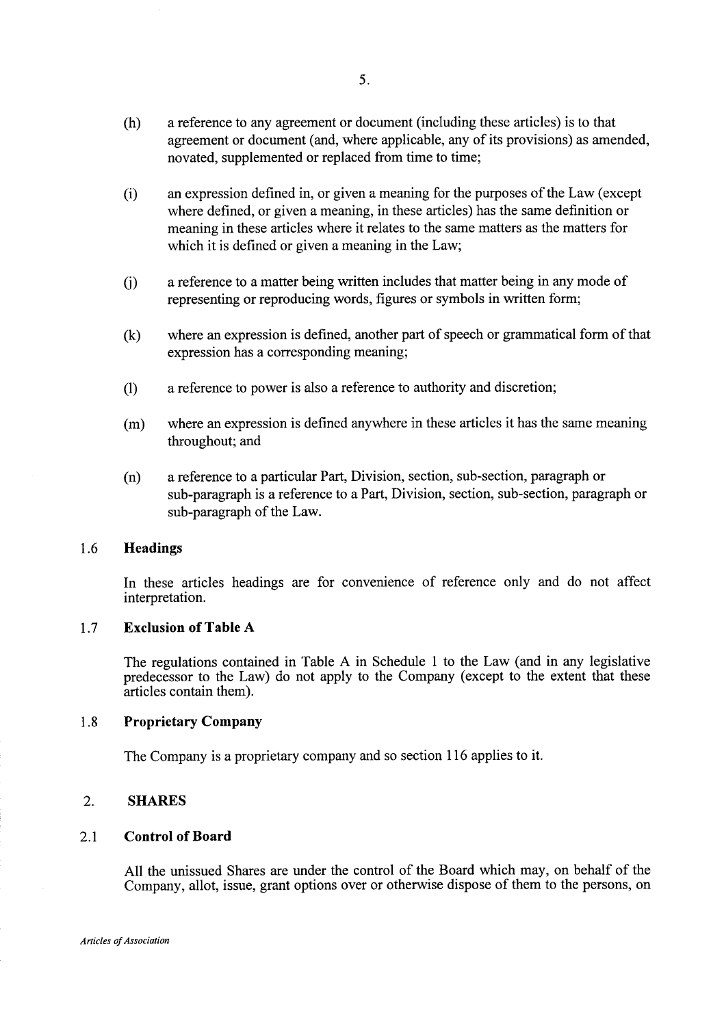- (h) a reference to any agreement or document (including these articles) is to that agreement or document (and, where applicable, any of its provisions) as amended, novated, supplemented or replaced from time to time;
- (i) an expression defined in, or given a meaning for the purposes of the Law (except where defined, or given a meaning, in these articles) has the same definition or meaning in these articles where it relates to the same matters as the matters for which it is defined or given a meaning in the Law;
- (j) a reference to a matter being written includes that matter being in any mode of representing or reproducing words, figures or symbols in written form;
- (k) where an expression is defined, another part of speech or grammatical form of that expression has a corresponding meaning;
- (1) a reference to power is also a reference to authority and discretion;
- (m) where an expression is defined anywhere in these articles it has the same meaning throughout; and
- (n) a reference to a particular Part, Division, section, sub-section, paragraph or sub-paragraph is a reference to a Part, Division, section, sub-section, paragraph or sub-paragraph of the Law.

# 1.6 **Headings**

In these articles headings are for convenience of reference only and do not affect interpretation.

# 1.7 **Exclusion of Table A**

The regulations contained in Table A in Schedule 1 to the Law (and in any legislative predecessor to the Law) do not apply to the Company (except to the extent that these articles contain them).

## 1.8 **Proprietary Company**

The Company is a proprietary company and so section 116 applies to it.

# 2. **SHARES**

# 2.1 **Control of Board**

All the unissued Shares are under the control of the Board which may, on behalf of the Company, allot, issue, grant options over or otherwise dispose of them to the persons, on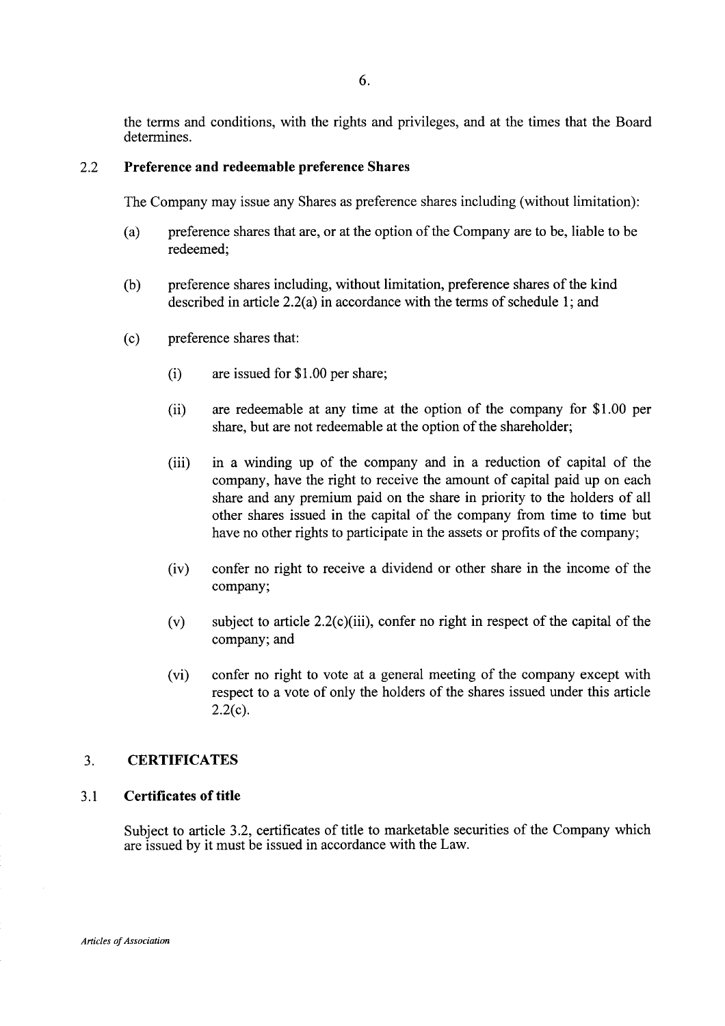the terms and conditions, with the rights and privileges, and at the times that the Board determines.

### 2.2 **Preference and redeemable preference Shares**

The Company may issue any Shares as preference shares including (without limitation):

- (a) preference shares that are, or at the option of the Company are to be, liable to be redeemed;
- (b) preference shares including, without limitation, preference shares of the kind described in article 2.2(a) in accordance with the terms of schedule 1; and
- (c) preference shares that:
	- (i) are issued for \$1.00 per share;
	- (ii) are redeemable at any time at the option of the company for \$1.00 per share, but are not redeemable at the option of the shareholder;
	- (iii) in a winding up of the company and in a reduction of capital of the company, have the right to receive the amount of capital paid up on each share and any premium paid on the share in priority to the holders of all other shares issued in the capital of the company from time to time but have no other rights to participate in the assets or profits of the company;
	- (iv) confer no right to receive a dividend or other share in the income of the company;
	- (v) subject to article 2.2(c)(iii), confer no right in respect of the capital of the company; and
	- (vi) confer no right to vote at a general meeting of the company except with respect to a vote of only the holders of the shares issued under this article  $2.2(c)$ .

# 3. **CERTIFICATES**

# 3.1 **Certificates of title**

Subject to article 3.2, certificates of title to marketable securities of the Company which are issued by it must be issued in accordance with the Law.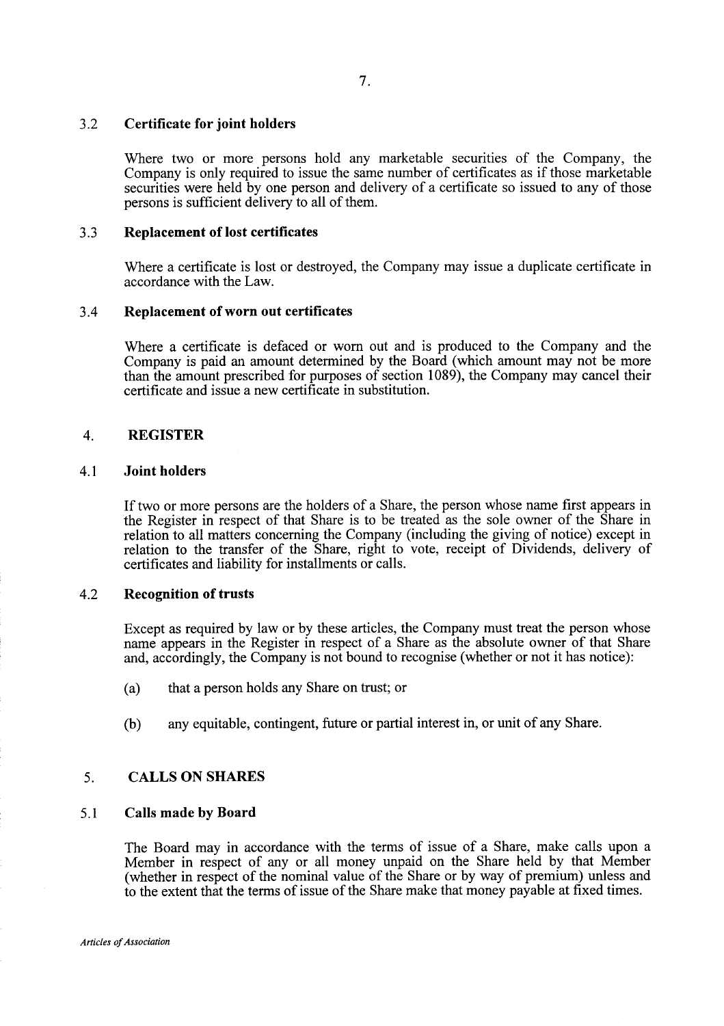#### 3.2 **Certificate for joint holders**

Where two or more persons hold any marketable securities of the Company, the Company is only required to issue the same number of certificates as if those marketable securities were held by one person and delivery of a certificate so issued to any of those persons is sufficient delivery to all of them.

#### 3.3 **Replacement of lost certificates**

Where a certificate is lost or destroyed, the Company may issue a duplicate certificate in accordance with the Law.

#### 3.4 **Replacement of worn out certificates**

Where a certificate is defaced or worn out and is produced to the Company and the Company is paid an amount determined by the Board (which amount may not be more than the amount prescribed for purposes of section 1089), the Company may cancel their certificate and issue a new certificate in substitution.

# 4. **REGISTER**

#### 4.1 **Joint holders**

If two or more persons are the holders of a Share, the person whose name first appears in the Register in respect of that Share is to be treated as the sole owner of the Share in relation to all matters concerning the Company (including the giving of notice) except in relation to the transfer of the Share, right to vote, receipt of Dividends, delivery of certificates and liability for installments or calls.

#### 4.2 **Recognition of trusts**

Except as required by law or by these articles, the Company must treat the person whose name appears in the Register in respect of a Share as the absolute owner of that Share and, accordingly, the Company is not bound to recognise (whether or not it has notice):

- (a) that a person holds any Share on trust; or
- (b) any equitable, contingent, future or partial interest in, or unit of any Share.

#### $5<sub>1</sub>$ **CALLS ON SHARES**

# **5.1 Calls made by Board**

The Board may in accordance with the terms of issue of a Share, make calls upon a Member in respect of any or all money unpaid on the Share held by that Member (whether in respect of the nominal value of the Share or by way of premium) unless and to the extent that the terms of issue of the Share make that money payable at fixed times.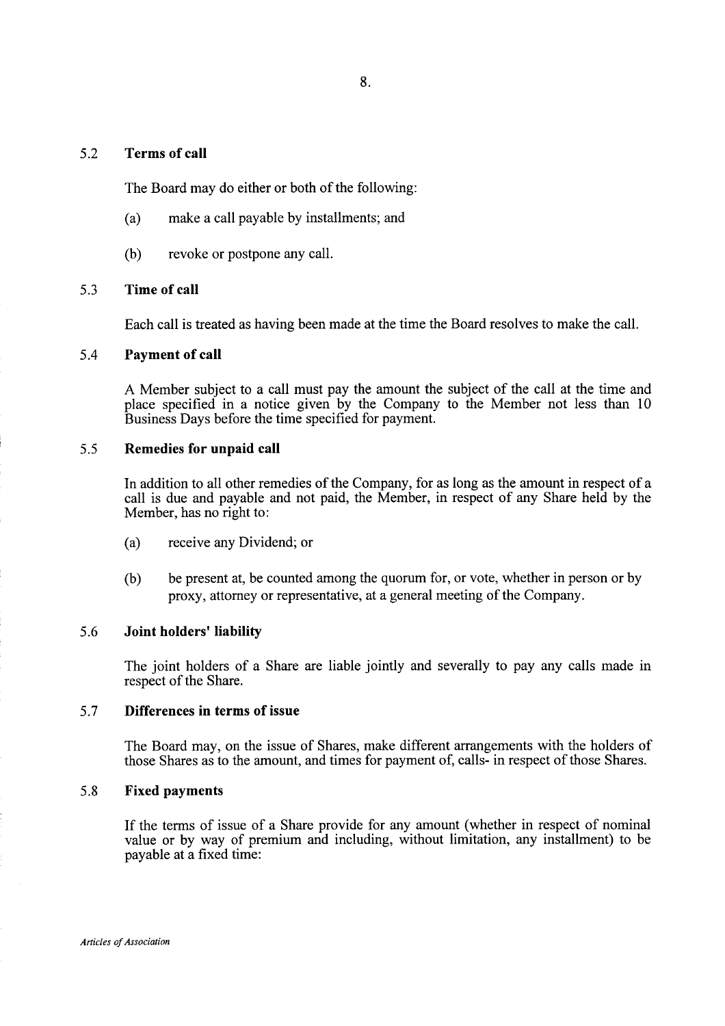#### *5.2* **Terms of call**

The Board may do either or both of the following:

- (a) make a call payable by installments; and
- (b) revoke or postpone any call.

# *5.3* **Time of call**

Each call is treated as having been made at the time the Board resolves to make the call.

# *5.4* **Payment of call**

A Member subject to a call must pay the amount the subject of the call at the time and place specified in a notice given by the Company to the Member not less than 10 Business Days before the time specified for payment.

# *5.5* **Remedies for unpaid call**

In addition to all other remedies of the Company, for as long as the amount in respect of a call is due and payable and not paid, the Member, in respect of any Share held by the Member, has no right to:

- (a) receive any Dividend; or
- (b) be present at, be counted among the quorum for, or vote, whether in person or by proxy, attorney or representative, at a general meeting of the Company.

# *5.6* **Joint holders' liability**

The joint holders of a Share are liable jointly and severally to pay any calls made in respect of the Share.

# *5.7* **Differences in terms of issue**

The Board may, on the issue of Shares, make different arrangements with the holders of those Shares as to the amount, and times for payment of, calls- in respect of those Shares.

# *5.8* **Fixed payments**

If the terms of issue of a Share provide for any amount (whether in respect of nominal value or by way of premium and including, without limitation, any installment) to be payable at a fixed time: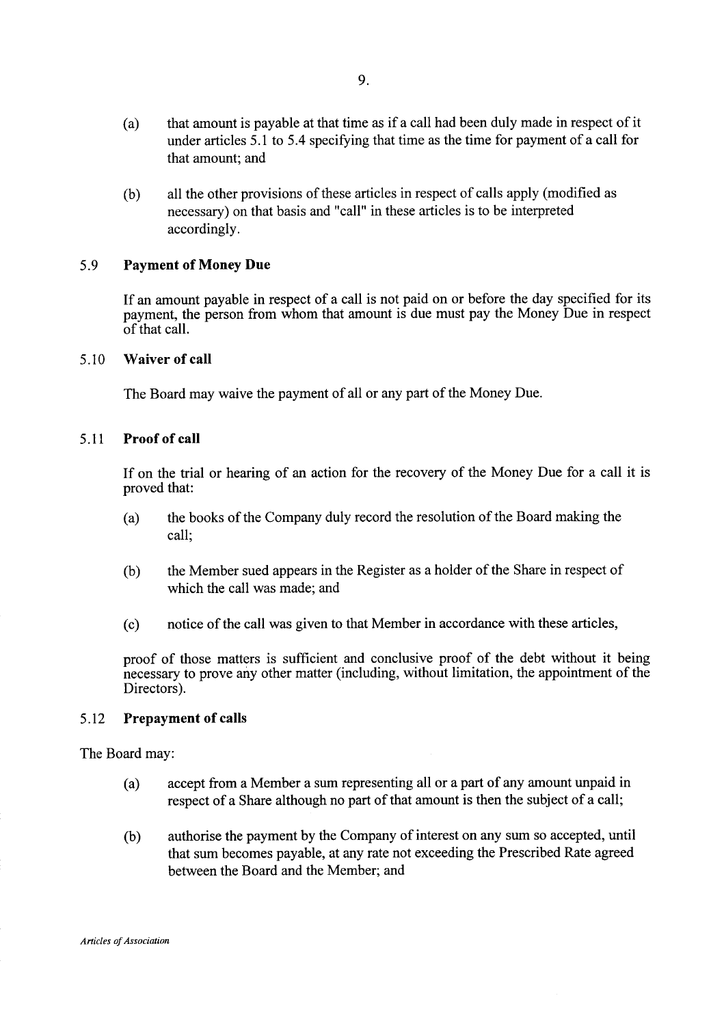- (a) that amount is payable at that time as if a call had been duly made in respect of it under articles 5.1 to *5.4* specifying that time as the time for payment of a call for that amount; and
- (b) all the other provisions of these articles in respect of calls apply (modified as necessary) on that basis and "call" in these articles is to be interpreted accordingly.

# *5.9* **Payment of Money Due**

If an amount payable in respect of a call is not paid on or before the day specified for its payment, the person from whom that amount is due must pay the Money Due in respect of that call.

# 5.10 **Waiver of call**

The Board may waive the payment of all or any part of the Money Due.

# 5.11 **Proof of call**

If on the trial or hearing of an action for the recovery of the Money Due for a call it is proved that:

- (a) the books of the Company duly record the resolution of the Board making the call;
- (b) the Member sued appears in the Register as a holder of the Share in respect of which the call was made; and
- (c) notice of the call was given to that Member in accordance with these articles,

proof of those matters is sufficient and conclusive proof of the debt without it being necessary to prove any other matter (including, without limitation, the appointment of the Directors).

# 5.12 **Prepayment of calls**

The Board may:

- (a) accept from a Member a sum representing all or a part of any amount unpaid in respect of a Share although no part of that amount is then the subject of a call;
- (b) authorise the payment by the Company of interest on any sum so accepted, until that sum becomes payable, at any rate not exceeding the Prescribed Rate agreed between the Board and the Member; and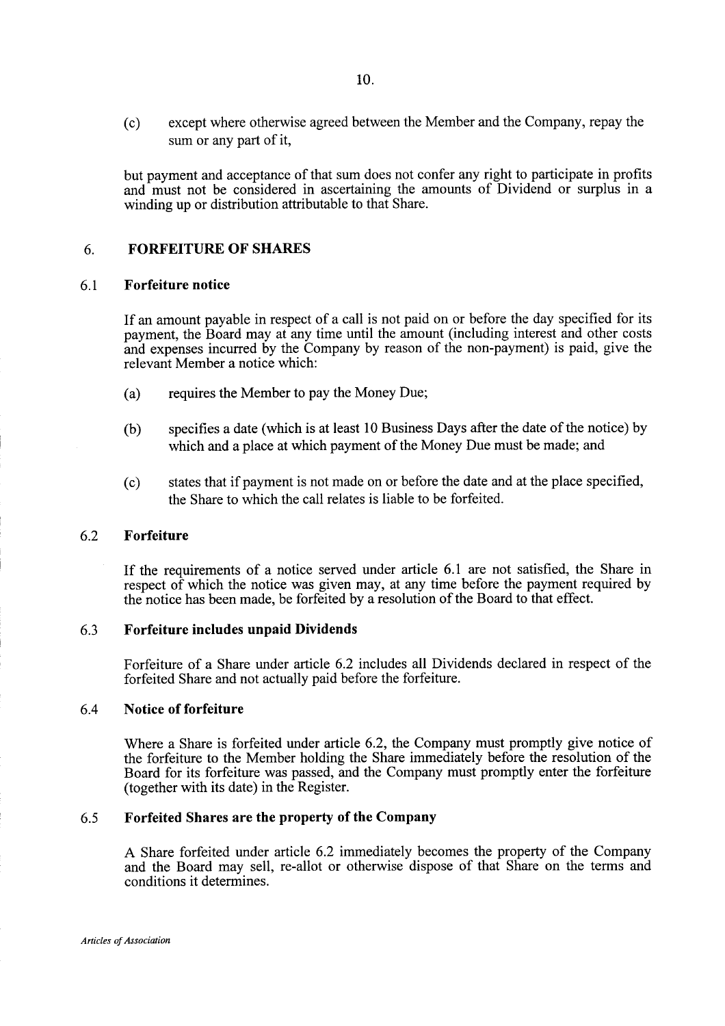(c) except where otherwise agreed between the Member and the Company, repay the sum or any part of it,

but payment and acceptance of that sum does not confer any right to participate in profits and must not be considered in ascertaining the amounts of Dividend or surplus in a winding up or distribution attributable to that Share.

# 6. **FORFEITURE OF SHARES**

#### 6.1 **Forfeiture notice**

If an amount payable in respect of a call is not paid on or before the day specified for its payment, the Board may at any time until the amount (including interest and other costs and expenses incurred by the Company by reason of the non-payment) is paid, give the relevant Member a notice which:

- (a) requires the Member to pay the Money Due;
- (b) specifies a date (which is at least 10 Business Days after the date of the notice) by which and a place at which payment of the Money Due must be made; and
- (c) states that if payment is not made on or before the date and at the place specified, the Share to which the call relates is liable to be forfeited.

## 6.2 **Forfeiture**

If the requirements of a notice served under article 6.1 are not satisfied, the Share in respect of which the notice was given may, at any time before the payment required by the notice has been made, be forfeited by a resolution of the Board to that effect.

# 6.3 **Forfeiture includes unpaid Dividends**

Forfeiture of a Share under article 6.2 includes all Dividends declared in respect of the forfeited Share and not actually paid before the forfeiture.

#### 6.4 **Notice of forfeiture**

Where a Share is forfeited under article 6.2, the Company must promptly give notice of the forfeiture to the Member holding the Share immediately before the resolution of the Board for its forfeiture was passed, and the Company must promptly enter the forfeiture (together with its date) in the Register.

# **6.5 Forfeited Shares are the property of the Company**

A Share forfeited under article 6.2 immediately becomes the property of the Company and the Board may sell, re-allot or otherwise dispose of that Share on the terms and conditions it determines.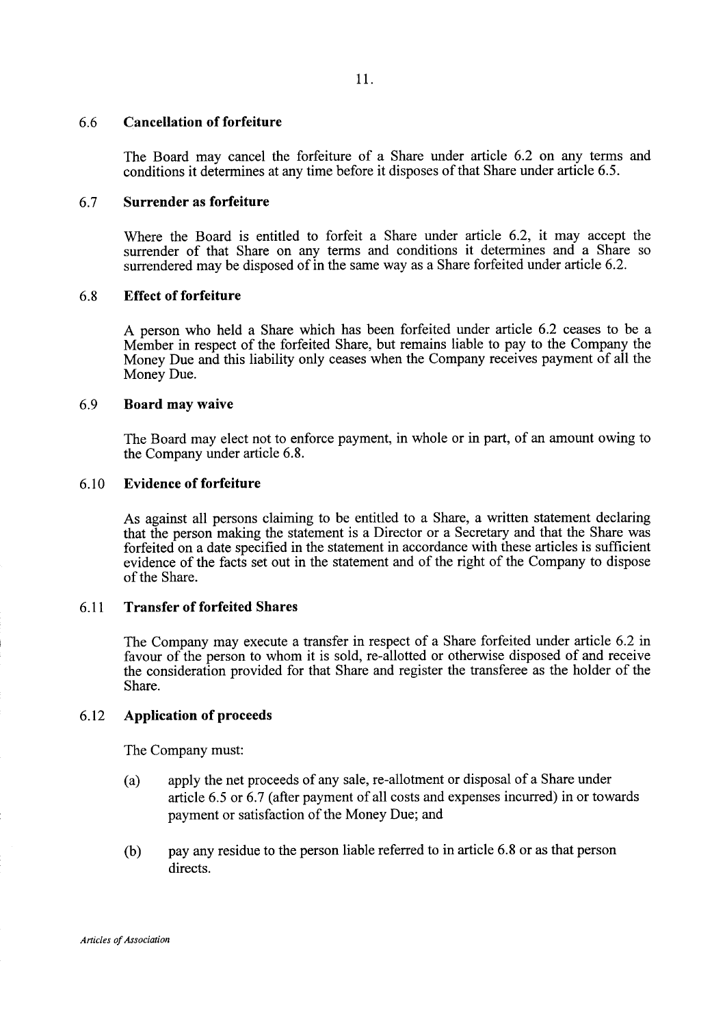# 6.6 **Cancellation of forfeiture**

The Board may cancel the forfeiture of a Share under article 6.2 on any terms and conditions it determines at any time before it disposes of that Share under article *6.5.* 

# 6.7 **Surrender as forfeiture**

Where the Board is entitled to forfeit a Share under article 6.2, it may accept the surrender of that Share on any terms and conditions it determines and a Share so surrendered may be disposed of in the same way as a Share forfeited under article 6.2.

# 6.8 **Effect of forfeiture**

A person who held a Share which has been forfeited under article 6.2 ceases to be a Member in respect of the forfeited Share, but remains liable to pay to the Company the Money Due and this liability only ceases when the Company receives payment of all the Money Due.

# 6.9 **Board may waive**

The Board may elect not to enforce payment, in whole or in part, of an amount owing to the Company under article 6.8.

# 6.10 **Evidence of forfeiture**

As against all persons claiming to be entitled to a Share, a written statement declaring that the person making the statement is a Director or a Secretary and that the Share was forfeited on a date specified in the statement in accordance with these articles is sufficient evidence of the facts set out in the statement and of the right of the Company to dispose of the Share.

# 6.11 **Transfer of forfeited Shares**

The Company may execute a transfer in respect of a Share forfeited under article 6.2 in favour of the person to whom it is sold, re-allotted or otherwise disposed of and receive the consideration provided for that Share and register the transferee as the holder of the Share.

# 6.12 **Application of proceeds**

The Company must:

- (a) apply the net proceeds of any sale, re-allotment or disposal of a Share under article *6.5* or 6.7 (after payment of all costs and expenses incurred) in or towards payment or satisfaction of the Money Due; and
- (b) pay any residue to the person liable referred to in article 6.8 or as that person directs.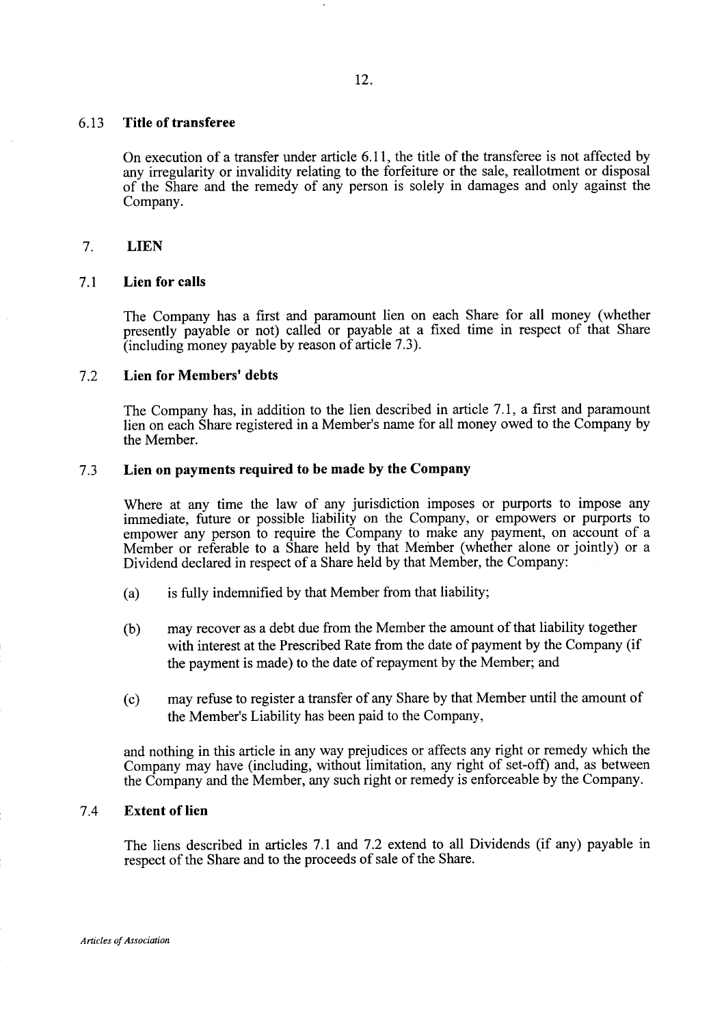#### 6.13 **Title of transferee**

On execution of a transfer under article 6.11, the title of the transferee is not affected by any irregularity or invalidity relating to the forfeiture or the sale, reallotment or disposal of the Share and the remedy of any person is solely in damages and only against the Company.

# 7. **LIEN**

#### 7.1 **Lien for calls**

The Company has a first and paramount lien on each Share for all money (whether presently payable or not) called or payable at a fixed time in respect of that Share (including money payable by reason of article 7.3).

#### 7.2 **Lien for Members' debts**

The Company has, in addition to the lien described in article 7.1, a first and paramount lien on each Share registered in a Member's name for all money owed to the Company by the Member.

#### **7.3 Lien on payments required to be made by the Company**

Where at any time the law of any jurisdiction imposes or purports to impose any immediate, future or possible liability on the Company, or empowers or purports to empower any person to require the Company to make any payment, on account of a Member or referable to a Share held by that Member (whether alone or jointly) or a Dividend declared in respect of a Share held by that Member, the Company:

- (a) is fully indemnified by that Member from that liability;
- (b) may recover as a debt due from the Member the amount of that liability together with interest at the Prescribed Rate from the date of payment by the Company (if the payment is made) to the date of repayment by the Member; and
- (c) may refuse to register a transfer of any Share by that Member until the amount of the Member's Liability has been paid to the Company,

and nothing in this article in any way prejudices or affects any right or remedy which the Company may have (including, without limitation, any right of set-off) and, as between the Company and the Member, any such right or remedy is enforceable by the Company.

# 7.4 **Extent of lien**

The liens described in articles 7.1 and 7.2 extend to all Dividends (if any) payable in respect of the Share and to the proceeds of sale of the Share.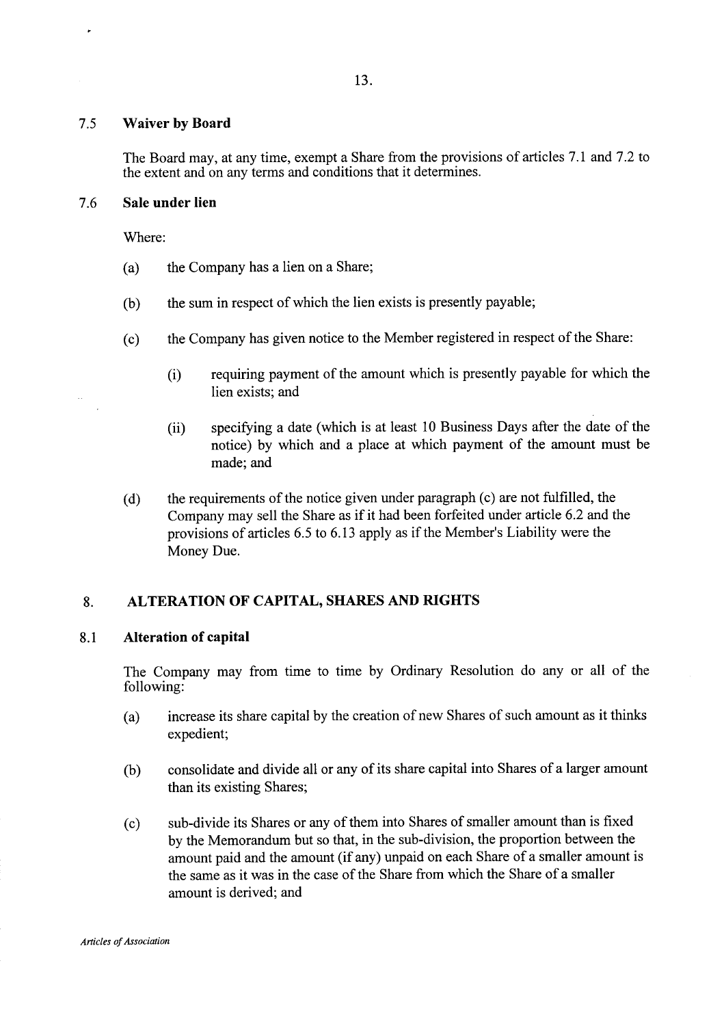# *7.5* **Waiver by Board**

The Board may, at any time, exempt a Share from the provisions of articles 7.1 and 7.2 to the extent and on any terms and conditions that it determines.

# 7.6 **Sale under lien**

Where:

- (a) the Company has a lien on a Share;
- (b) the sum in respect of which the lien exists is presently payable;
- (c) the Company has given notice to the Member registered in respect of the Share:
	- (i) requiring payment of the amount which is presently payable for which the lien exists; and
	- (ii) specifying a date (which is at least 10 Business Days after the date of the notice) by which and a place at which payment of the amount must be made; and
- (d) the requirements of the notice given under paragraph (c) are not fulfilled, the Company may sell the Share as if it had been forfeited under article 6.2 and the provisions of articles *6.5* to 6.13 apply as if the Member's Liability were the Money Due.

# 8. **ALTERATION OF CAPITAL, SHARES AND RIGHTS**

# **8.1 Alteration of capital**

The Company may from time to time by Ordinary Resolution do any or all of the following:

- (a) increase its share capital by the creation of new Shares of such amount as it thinks expedient;
- (b) consolidate and divide all or any of its share capital into Shares of a larger amount than its existing Shares;
- (c) sub-divide its Shares or any of them into Shares of smaller amount than is fixed by the Memorandum but so that, in the sub-division, the proportion between the amount paid and the amount (if any) unpaid on each Share of a smaller amount is the same as it was in the case of the Share from which the Share of a smaller amount is derived; and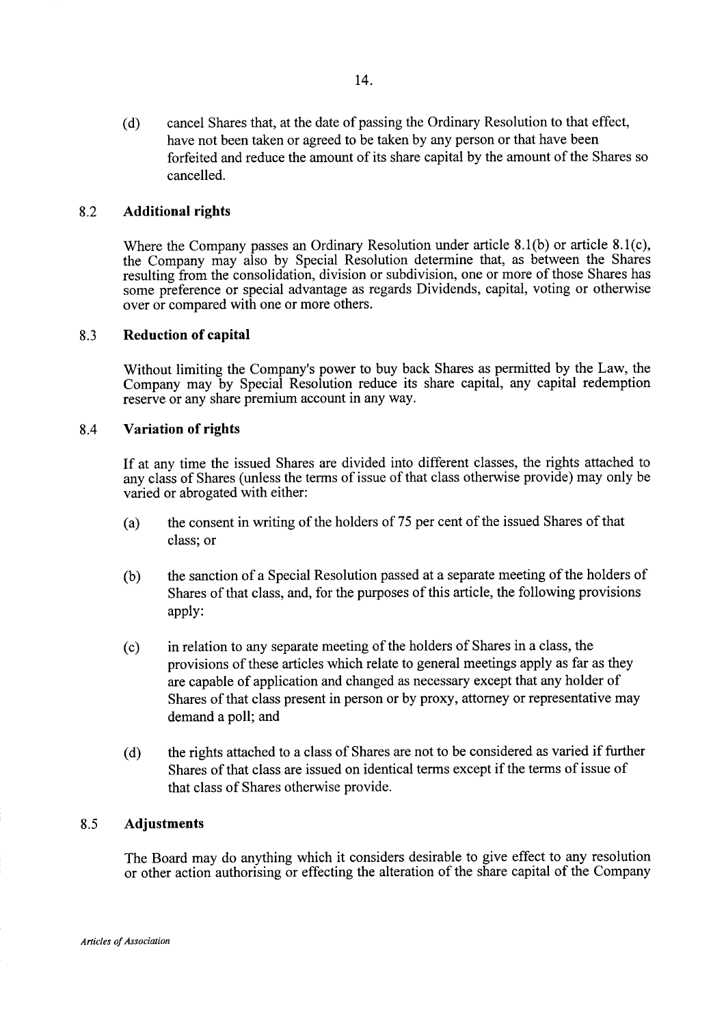(d) cancel Shares that, at the date of passing the Ordinary Resolution to that effect, have not been taken or agreed to be taken by any person or that have been forfeited and reduce the amount of its share capital by the amount of the Shares so cancelled.

# 8.2 **Additional rights**

Where the Company passes an Ordinary Resolution under article 8.1(b) or article 8.1(c), the Company may also by Special Resolution determine that, as between the Shares resulting from the consolidation, division or subdivision, one or more of those Shares has some preference or special advantage as regards Dividends, capital, voting or otherwise over or compared with one or more others.

# 8.3 **Reduction of capital**

Without limiting the Company's power to buy back Shares as permitted by the Law, the Company may by Special Resolution reduce its share capital, any capital redemption reserve or any share premium account in any way.

#### 8.4 **Variation of rights**

If at any time the issued Shares are divided into different classes, the rights attached to any class of Shares (unless the terms of issue of that class otherwise provide) may only be varied or abrogated with either:

- (a) the consent in writing of the holders of *75* per cent of the issued Shares of that class; or
- (b) the sanction of a Special Resolution passed at a separate meeting of the holders of Shares of that class, and, for the purposes of this article, the following provisions apply:
- (c) in relation to any separate meeting of the holders of Shares in a class, the provisions of these articles which relate to general meetings apply as far as they are capable of application and changed as necessary except that any holder of Shares of that class present in person or by proxy, attorney or representative may demand a poll; and
- (d) the rights attached to a class of Shares are not to be considered as varied if further Shares of that class are issued on identical terms except if the terms of issue of that class of Shares otherwise provide.

# *8.5* **Adjustments**

The Board may do anything which it considers desirable to give effect to any resolution or other action authorising or effecting the alteration of the share capital of the Company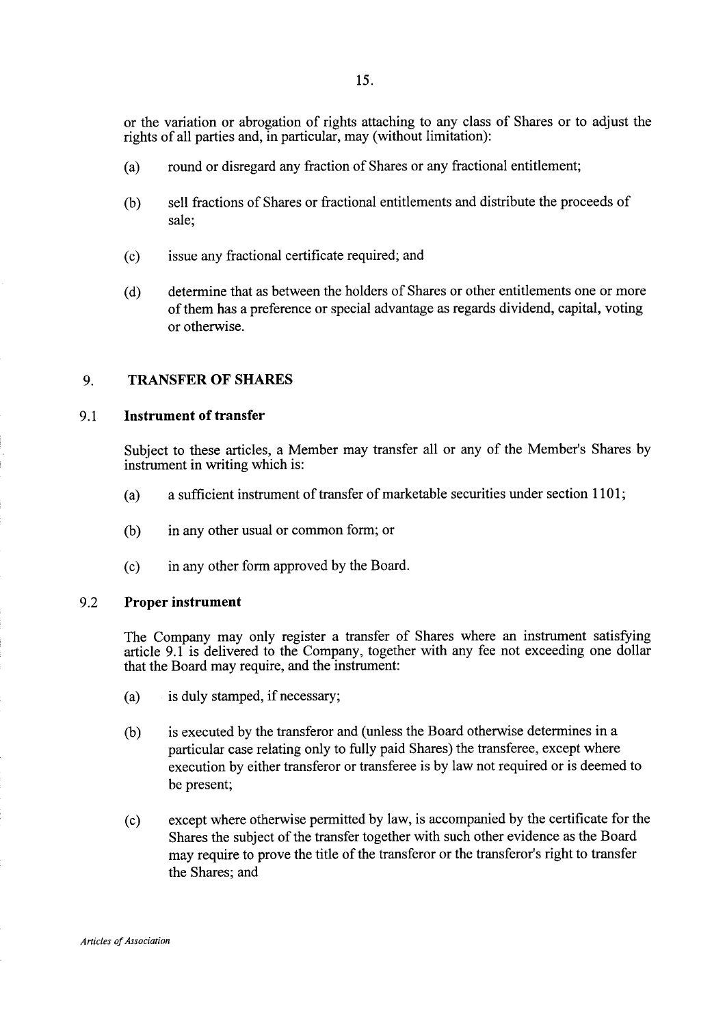or the variation or abrogation of rights attaching to any class of Shares or to adjust the rights of all parties and, in particular, may (without limitation):

- (a) round or disregard any fraction of Shares or any fractional entitlement;
- (b) sell fractions of Shares or fractional entitlements and distribute the proceeds of sale;
- (c) issue any fractional certificate required; and
- (d) determine that as between the holders of Shares or other entitlements one or more of them has a preference or special advantage as regards dividend, capital, voting or otherwise.

# 9. **TRANSFER OF SHARES**

# 9.1 **Instrument of transfer**

Subject to these articles, a Member may transfer all or any of the Member's Shares by instrument in writing which is:

- (a) a sufficient instrument of transfer of marketable securities under section 1101;
- (b) in any other usual or common form; or
- (c) in any other form approved by the Board.

# 9.2 **Proper instrument**

The Company may only register a transfer of Shares where an instrument satisfying article 9.1 is delivered to the Company, together with any fee not exceeding one dollar that the Board may require, and the instrument:

- (a) is duly stamped, if necessary;
- (b) is executed by the transferor and (unless the Board otherwise determines in a particular case relating only to fully paid Shares) the transferee, except where execution by either transferor or transferee is by law not required or is deemed to be present;
- (c) except where otherwise permitted by law, is accompanied by the certificate for the Shares the subject of the transfer together with such other evidence as the Board may require to prove the title of the transferor or the transferor's right to transfer the Shares; and